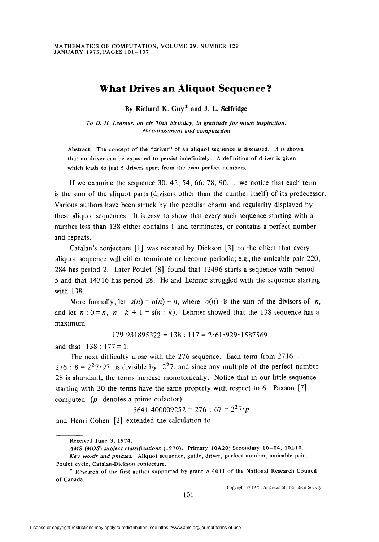## What Drives an Aliquot Sequence ?

By Richard K. Guy\* and J. L. Selfridge

To D. H. Lehmer, on his 10th birthday, in gratitude for much inspiration, encouragement and computation

Abstract. The concept of the "driver" of an aliquot sequence is discussed. It is shown that no driver can be expected to persist indefinitely. A definition of driver is given which leads to just 5 drivers apart from the even perfect numbers.

If we examine the sequence  $30, 42, 54, 66, 78, 90, \ldots$  we notice that each term is the sum of the aliquot parts (divisors other than the number itself) of its predecessor. Various authors have been struck by the peculiar charm and regularity displayed by these aliquot sequences. It is easy to show that every such sequence starting with a number less than 138 either contains 1 and terminates, or contains a perfect number and repeats.

Catalan's conjecture [1] was restated by Dickson [3] to the effect that every aliquot sequence will either terminate or become periodic; e.g.,the amicable pair 220, 284 has period 2. Later Poulet [8] found that 12496 starts a sequence with period 5 and that 14316 has period 28. He and Lehmer struggled with the sequence starting with 138.

More formally, let  $s(n) = o(n) - n$ , where  $o(n)$  is the sum of the divisors of n, and let  $n: 0 = n$ ,  $n : k + 1 = s(n : k)$ . Lehmer showed that the 138 sequence has a maximum

$$
179\;931895322=138:117=2.61.929.1587569
$$

and that  $138 : 177 = 1$ .

The next difficulty arose with the 276 sequence. Each term from  $2716 =$ 276 :  $8 = 2^27.97$  is divisible by 2<sup>2</sup>7, and since any multiple of the perfect number 28 is abundant, the terms increase monotonically. Notice that in our little sequence starting with 30 the terms have the same property with respect to 6. Paxson [7] computed (p denotes a prime cofactor)

$$
5641\;400009252=276:67=2^27\cdot p
$$

and Henri Cohen [2] extended the calculation to

Copyright © 1975, American Mathematical Society

Received June 3, 1974.

AMS (MOS) subject classifications (1970). Primary 10A20; Secondary 10-04, 10L10. Key words and phrases. Aliquot sequence, guide, driver, perfect number, amicable pair, Poulet cycle, Catalan-Dickson conjecture.

<sup>\*</sup> Research of the first author supported by grant A-4011 of the National Research Council of Canada.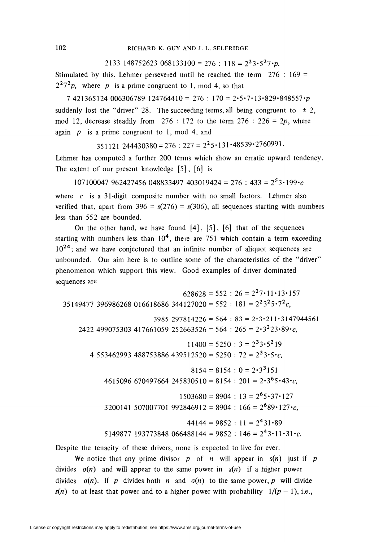2133 148752623 068133100 = 276 : 118 =  $2^{2}3.5^{2}7 \cdot p$ .

Stimulated by this, Lehmer persevered until he reached the term  $276 : 169 =$  $2^27^2p$ , where p is a prime congruent to 1, mod 4, so that

 $7421365124006306789124764410 = 276 : 170 = 2 \cdot 5 \cdot 7 \cdot 13 \cdot 829 \cdot 848557 \cdot p$ suddenly lost the "driver" 28. The succeeding terms, all being congruent to  $\pm 2$ , mod 12, decrease steadily from  $276 : 172$  to the term  $276 : 226 = 2p$ , where again  $p$  is a prime congruent to 1, mod 4, and

351121 244430380 = 276 : 227 =  $2^2$ 5 · 131 · 48539 · 2760991.

Lehmer has computed a further 200 terms which show an erratic upward tendency. The extent of our present knowledge [5], [6] is

 $107100047962427456048833497403019424 = 276 : 433 = 2<sup>5</sup>3 \cdot 199 \cdot c$ 

where  $c$  is a 31-digit composite number with no small factors. Lehmer also verified that, apart from  $396 = s(276) = s(306)$ , all sequences starting with numbers less than 552 are bounded.

On the other hand, we have found  $[4]$ ,  $[5]$ ,  $[6]$  that of the sequences starting with numbers less than  $10<sup>4</sup>$ , there are 751 which contain a term exceeding  $10^{24}$ ; and we have conjectured that an infinite number of aliquot sequences are unbounded. Our aim here is to outline some of the characteristics of the "driver" phenomenon which support this view. Good examples of driver dominated sequences are

 $628628 = 552 : 26 = 2^27 \cdot 11 \cdot 13 \cdot 157$ 35149477 396986268 016618686 344127020 = 552 : 181 =  $2^23^25 \cdot 7^2c$ ,  $3985\ 297814226 = 564 : 83 = 2 \cdot 3 \cdot 211 \cdot 3147944561$ 2422 499075303 417661059 252663526 = 564 : 265 =  $2 \cdot 3^2 23 \cdot 89 \cdot c$ .  $11400 = 5250 : 3 = 2<sup>3</sup>3.5<sup>2</sup>19$ 4 553462993 488753886 439512520 = 5250 : 72 =  $2^33 \cdot 5 \cdot c$  $8154 = 8154 : 0 = 2 \cdot 3^3 151$ 4615096 670497664 245830510 = 8154 : 201 =  $2 \cdot 3^6 5 \cdot 43 \cdot c$  $1503680 = 8904$ :  $13 = 2^65 \cdot 37 \cdot 127$  $3200141$  507007701 992846912 = 8904 : 166 =  $2^{6}89 \cdot 127 \cdot c$ ,  $44144 = 9852 : 11 = 2<sup>4</sup>31·89$ 5149877 193773848 066488144 = 9852 : 146 =  $2^43 \cdot 11 \cdot 31 \cdot c$ .

Despite the tenacity of these drivers, none is expected to live for ever.

We notice that any prime divisor p of n will appear in  $s(n)$  just if p divides  $\sigma(n)$  and will appear to the same power in  $s(n)$  if a higher power divides  $\sigma(n)$ . If p divides both n and  $\sigma(n)$  to the same power, p will divide  $s(n)$  to at least that power and to a higher power with probability  $1/(p - 1)$ , i.e.,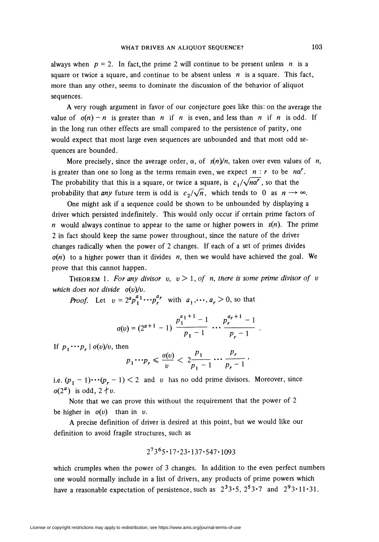always when  $p = 2$ . In fact, the prime 2 will continue to be present unless n is a square or twice a square, and continue to be absent unless  $n$  is a square. This fact, more than any other, seems to dominate the discussion of the behavior of aliquot sequences.

A very rough argument in favor of our conjecture goes like this: on the average the value of  $\sigma(n) - n$  is greater than n if n is even, and less than n if n is odd. If in the long run other effects are small compared to the persistence of parity, one would expect that most large even sequences are unbounded and that most odd sequences are bounded.

More precisely, since the average order,  $\alpha$ , of  $s(n)/n$ , taken over even values of n, is greater than one so long as the terms remain even, we expect  $n : r$  to be  $n\alpha^r$ . The probability that this is a square, or twice a square, is  $c_1/\sqrt{n\alpha'}$ , so that the probability that any future term is odd is  $c_2/\sqrt{n}$ , which tends to 0 as  $n \rightarrow \infty$ .

One might ask if a sequence could be shown to be unbounded by displaying a driver which persisted indefinitely. This would only occur if certain prime factors of n would always continue to appear to the same or higher powers in  $s(n)$ . The prime 2 in fact should keep the same power throughout, since the nature of the driver changes radically when the power of 2 changes. If each of a set of primes divides  $\sigma(n)$  to a higher power than it divides n, then we would have achieved the goal. We prove that this cannot happen.

THEOREM 1. For any divisor v,  $v > 1$ , of n, there is some prime divisor of v which does not divide  $\sigma(v)/v$ .

**Proof.** Let  $v = 2^a p_1^{a_1} \cdots p_r^{a_r}$  with  $a_1, \cdots, a_r > 0$ , so that

$$
\sigma(v) = (2^{a+1} - 1) \frac{p_1^{a_1+1} - 1}{p_1 - 1} \dots \frac{p_r^{a_r+1} - 1}{p_r - 1}
$$

If  $p_1 \cdots p_r \mid \sigma(v)/v$ , then

$$
p_1 \cdots p_r \leqslant \frac{\sigma(v)}{v} < 2 \frac{p_1}{p_1 - 1} \cdots \frac{p_r}{p_r - 1}
$$

i.e.  $(p_1 - 1) \cdots (p_r - 1) < 2$  and v has no odd prime divisors. Moreover, since  $\sigma(2^a)$  is odd,  $2+ v$ .

Note that we can prove this without the requirement that the power of 2 be higher in  $\sigma(v)$  than in v.

A precise definition of driver is desired at this point, but we would like our definition to avoid fragile structures, such as

$$
2^73^65 \cdot 17 \cdot 23 \cdot 137 \cdot 547 \cdot 1093
$$

which crumples when the power of 3 changes. In addition to the even perfect numbers one would normally include in a list of drivers, any products of prime powers which have a reasonable expectation of persistence, such as  $2^33.5$ ,  $2^53.7$  and  $2^93.11.31$ .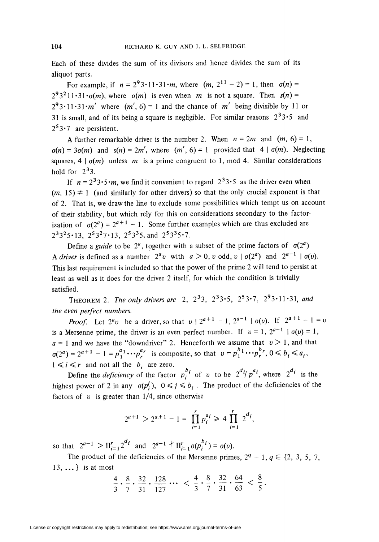Each of these divides the sum of its divisors and hence divides the sum of its aliquot parts.

For example, if  $n = 2^93 \cdot 11 \cdot 31 \cdot m$ , where  $(m, 2^{11} - 2) = 1$ , then  $\sigma(n) =$  $2^{9}3^{2}11\cdot31\cdot\sigma(m)$ , where  $\sigma(m)$  is even when m is not a square. Then  $s(n)$  =  $2^93 \cdot 11 \cdot 31 \cdot m'$  where  $(m', 6) = 1$  and the chance of m' being divisible by 11 or 31 is small, and of its being a square is negligible. For similar reasons  $2^33 \cdot 5$  and  $2<sup>5</sup>3·7$  are persistent.

A further remarkable driver is the number 2. When  $n = 2m$  and  $(m, 6) = 1$ ,  $\sigma(n) = 3\sigma(m)$  and  $s(n) = 2m'$ , where  $(m', 6) = 1$  provided that  $4 | \sigma(m)$ . Neglecting squares,  $4 | o(m)$  unless m is a prime congruent to 1, mod 4. Similar considerations hold for  $2^3$ 3.

If  $n = 2^33.5 \cdot m$ , we find it convenient to regard  $2^33.5$  as the driver even when  $(m, 15) \neq 1$  (and similarly for other drivers) so that the only crucial exponent is that of 2. That is, we draw the line to exclude some possibilities which tempt us on account of their stability, but which rely for this on considerations secondary to the factorization of  $\sigma(2^a) = 2^{a+1} - 1$ . Some further examples which are thus excluded are  $2^33^25 \cdot 13$ ,  $2^53^27 \cdot 13$ ,  $2^53^35$ , and  $2^53^35 \cdot 7$ .

Define a guide to be  $2^a$ , together with a subset of the prime factors of  $\sigma(2^a)$ A driver is defined as a number  $2^a v$  with  $a > 0$ , v odd,  $v \mid \sigma(2^a)$  and  $2^{a-1} \mid \sigma(v)$ . This last requirement is included so that the power of the prime 2 will tend to persist at least as well as it does for the driver 2 itself, for which the condition is trivially satisfied.

THEOREM 2. The only drivers are 2,  $2^33$ ,  $2^33.5$ ,  $2^53.7$ ,  $2^93.11.31$ , and the even perfect numbers.

**Proof.** Let  $2^a v$  be a driver, so that  $v \mid 2^{a+1} - 1$ ,  $2^{a-1} \mid \sigma(v)$ . If  $2^{a+1} - 1 = v$ is a Mersenne prime, the driver is an even perfect number. If  $v = 1$ ,  $2^{a-1}$   $\sigma(v) = 1$ ,  $a = 1$  and we have the "downdriver" 2. Henceforth we assume that  $v > 1$ , and that  $a(2^a) = 2^{a+1} - 1 = p_1^{a_1} \cdots p_r^{a_r}$  is composite, so that  $v = p_1^{b_1} \cdots p_r^{b_r}, 0 \le b_i \le a_i$ ,  $1 \le i \le r$  and not all the  $b_i$  are zero.

Define the *deficiency* of the factor  $p_i^{b_i}$  of v to be  $2^{d_i}/p^{d_i}$ , where  $2^{d_i}$  is the highest power of 2 in any  $\sigma(p_i^j)$ ,  $0 \leq j \leq b_i$ . The product of the deficiencies of the factors of  $v$  is greater than  $1/4$ , since otherwise

$$
2^{a+1} > 2^{a+1} - 1 = \prod_{i=1}^r p_i^{a_i} \ge 4 \prod_{i=1}^r 2^{d_i},
$$

so that  $2^{a-1} > \prod_{i=1}^r 2^{d_i}$  and  $2^{a-1} \nmid \prod_{i=1}^r \sigma(p_i^{b_i}) = \sigma(v)$ .

The product of the deficiencies of the Mersenne primes,  $2^q - 1$ ,  $q \in \{2, 3, 5, 7,$ 13, ... } is at most

$$
\frac{4}{3} \cdot \frac{8}{7} \cdot \frac{32}{31} \cdot \frac{128}{127} \cdots < \frac{4}{3} \cdot \frac{8}{7} \cdot \frac{32}{31} \cdot \frac{64}{63} < \frac{8}{5}.
$$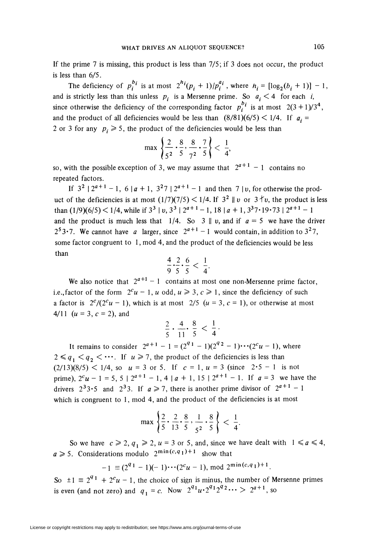If the prime 7 is missing, this product is less than 7/5; if 3 does not occur, the product is less than 6/5.

The deficiency of  $p_i^{b_i}$  is at most  $2^{h_i}(p_i + 1)/p_i^{a_i}$ , where  $h_i = [\log_2(b_i + 1)] - 1$ , and is strictly less than this unless  $p_i$  is a Mersenne prime. So  $a_i < 4$  for each i, since otherwise the deficiency of the corresponding factor  $p_i^{b_i}$  is at most  $2(3 + 1)/3^4$ , and the product of all deficiencies would be less than  $(8/81)(6/5) < 1/4$ . If  $a_i =$ 2 or 3 for any  $p_i \ge 5$ , the product of the deficiencies would be less than

$$
\max\left\{\frac{2}{5^2}\cdot\frac{8}{5},\frac{8}{7^2}\cdot\frac{7}{5}\right\}<\frac{1}{4},
$$

so, with the possible exception of 3, we may assume that  $2^{a+1} - 1$  contains no repeated factors.

If  $3^2 \mid 2^{a+1} - 1$ ,  $6 \mid a + 1$ ,  $3^2 \mid 2^{a+1} - 1$  and then  $7 \mid v$ , for otherwise the product of the deficiencies is at most  $(1/7)(7/5) < 1/4$ . If  $3^2 \parallel v$  or  $3 \nmid v$ , the product is less than  $(1/9)(6/5) < 1/4$ , while if  $3^3 \mid v$ ,  $3^3 \mid 2^{a+1} - 1$ ,  $18 \mid a + 1$ ,  $3^3 \cdot 7 \cdot 19 \cdot 73 \mid 2^{a+1} - 1$ and the product is much less that  $1/4$ . So 3 || v, and if  $a = 5$  we have the driver 2<sup>5</sup>3.7. We cannot have a larger, since  $2^{a+1} - 1$  would contain, in addition to  $3^2$ 7, some factor congruent to 1, mod 4, and the product of the deficiencies would be less than

$$
\frac{4}{9} \cdot \frac{2}{5} \cdot \frac{6}{5} < \frac{1}{4}
$$

We also notice that  $2^{a+1} - 1$  contains at most one non-Mersenne prime factor, i.e., factor of the form  $2^c u - 1$ , u odd,  $u \ge 3$ ,  $c \ge 1$ , since the deficiency of such a factor is  $2^{c}/(2^{c}u - 1)$ , which is at most  $2/5$   $(u = 3, c = 1)$ , or otherwise at most 4/11  $(u = 3, c = 2)$ , and

$$
\frac{2}{5} \cdot \frac{4}{11} \cdot \frac{8}{5} < \frac{1}{4} \cdot
$$

It remains to consider  $2^{a+1} - 1 = (2^{q_1} - 1)(2^{q_2} - 1)\cdots(2^c u - 1)$ , where  $2 \leq q_1 < q_2 < \cdots$ . If  $u \geq 7$ , the product of the deficiencies is less than  $(2/13)(8/5)$  < 1/4, so  $u = 3$  or 5. If  $c = 1$ ,  $u = 3$  (since  $2 \cdot 5 - 1$  is not prime),  $2^{c}u - 1 = 5$ ,  $5 \mid 2^{a+1} - 1$ ,  $4 \mid a + 1$ ,  $15 \mid 2^{a+1} - 1$ . If  $a = 3$  we have the drivers  $2^33.5$  and  $2^33$ . If  $a \ge 7$ , there is another prime divisor of  $2^{a+1} - 1$ which is congruent to 1, mod 4, and the product of the deficiencies is at most

$$
\max\left\{\frac{2}{5}\cdot\frac{2}{13}\cdot\frac{8}{5}\cdot\frac{1}{5^2}\cdot\frac{8}{5}\right\}<\frac{1}{4}.
$$

So we have  $c \ge 2$ ,  $q_1 \ge 2$ ,  $u = 3$  or 5, and, since we have dealt with  $1 \le a \le 4$ ,  $a \geqslant 5$ . Considerations modulo  $2^{\min(c,q_1)+1}$  show that

$$
-1 \equiv (2^{q_1} - 1)(-1)\cdots(2^c u - 1), \bmod 2^{\min(c,q_1)+1}.
$$

So  $\pm 1 \equiv 2^{q_1} + 2^c u - 1$ , the choice of sign is minus, the number of Mersenne primes is even (and not zero) and  $q_1 = c$ . Now  $2^{q_1}u \cdot 2^{q_1}2^{q_2} \cdots > 2^{q+1}$ , so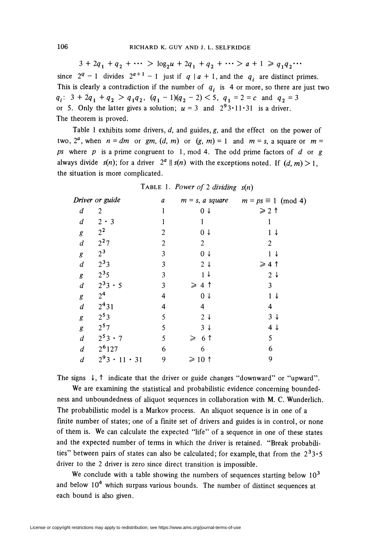$3 + 2q_1 + q_2 + \cdots > log_2 u + 2q_1 + q_2 + \cdots > a + 1 \geq q_1 q_2 \cdots$ since  $2^q - 1$  divides  $2^{a+1} - 1$  just if  $q \mid a + 1$ , and the  $q_i$  are distinct primes. This is clearly a contradiction if the number of  $q_i$  is 4 or more, so there are just two  $q_i$ :  $3 + 2q_1 + q_2 > q_1 q_2$ ,  $(q_1 - 1)(q_2 - 2) < 5$ ,  $q_1 = 2 = c$  and  $q_2 = 3$ or 5. Only the latter gives a solution;  $u = 3$  and  $2^93 \cdot 11 \cdot 31$  is a driver. The theorem is proved.

Table 1 exhibits some drivers,  $d$ , and guides,  $g$ , and the effect on the power of two,  $2^a$ , when  $n = dm$  or gm,  $(d, m)$  or  $(g, m) = 1$  and  $m = s$ , a square or  $m =$ ps where  $p$  is a prime congruent to 1, mod 4. The odd prime factors of  $d$  or  $g$ always divide  $s(n)$ ; for a driver  $2^a \parallel s(n)$  with the exceptions noted. If  $(d, m) > 1$ , the situation is more complicated.

| Driver or guide  |                           | a              | $m = s$ , a square | $m = ps \equiv 1 \pmod{4}$ |  |  |
|------------------|---------------------------|----------------|--------------------|----------------------------|--|--|
| d                | 2                         | 1              | $0 \downarrow$     | $\geqslant$ 2 1            |  |  |
| $\boldsymbol{d}$ | $2 \cdot 3$               |                | 1                  |                            |  |  |
| g                | $2^2$                     | 2              | 0 <sup>1</sup>     | $1\downarrow$              |  |  |
| $\boldsymbol{d}$ | $2^2$ 7                   | $\overline{2}$ | 2                  | $\overline{2}$             |  |  |
| g                | $2^3$                     | 3              | $0 \downarrow$     | 1<br>↓                     |  |  |
| $\boldsymbol{d}$ | $2^33$                    | 3              | $2\downarrow$      | ≥4↑                        |  |  |
| g                | $2^{3}5$                  | 3              | $1 +$              | $2\downarrow$              |  |  |
| $\boldsymbol{d}$ | $2^3 3 \cdot 5$           | 3              | $\geqslant 4$<br>ੀ | 3                          |  |  |
| g                | 2 <sup>4</sup>            | 4              | 0 <sup>1</sup>     | $\mathbf{1}$<br>↓          |  |  |
| $\boldsymbol{d}$ | $2^{4}31$                 | 4              | 4                  | 4                          |  |  |
| g                | $2^{5}3$                  | 5              | $2\downarrow$      | $3 \downarrow$             |  |  |
| g                | $2^{5}7$                  | 5              | $3 \downarrow$     | 4 J                        |  |  |
| $\boldsymbol{d}$ | $2^53 \cdot 7$            | 5              | 6 T<br>≥           | 5                          |  |  |
| d                | $2^{6}127$                | 6              | 6                  | 6                          |  |  |
| $\boldsymbol{d}$ | $2^9$ 3.<br>$11 \cdot 31$ | 9              | $\geqslant$ 10 1   | 9                          |  |  |

TABLE 1. Power of 2 dividing  $s(n)$ 

The signs  $\downarrow$ ,  $\uparrow$  indicate that the driver or guide changes "downward" or "upward".

We are examining the statistical and probabilistic evidence concerning boundedness and unboundedness of aliquot sequences in collaboration with M. C. Wunderlich. The probabilistic model is a Markov process. An aliquot sequence is in one of a finite number of states; one of a finite set of drivers and guides is in control, or none of them is. We can calculate the expected "life" of a sequence in one of these states and the expected number of terms in which the driver is retained. "Break probabilities" between pairs of states can also be calculated; for example, that from the  $2^33.5$ driver to the 2 driver is zero since direct transition is impossible.

We conclude with a table showing the numbers of sequences starting below  $10^3$ and below  $10<sup>4</sup>$  which surpass various bounds. The number of distinct sequences at each bound is also given.